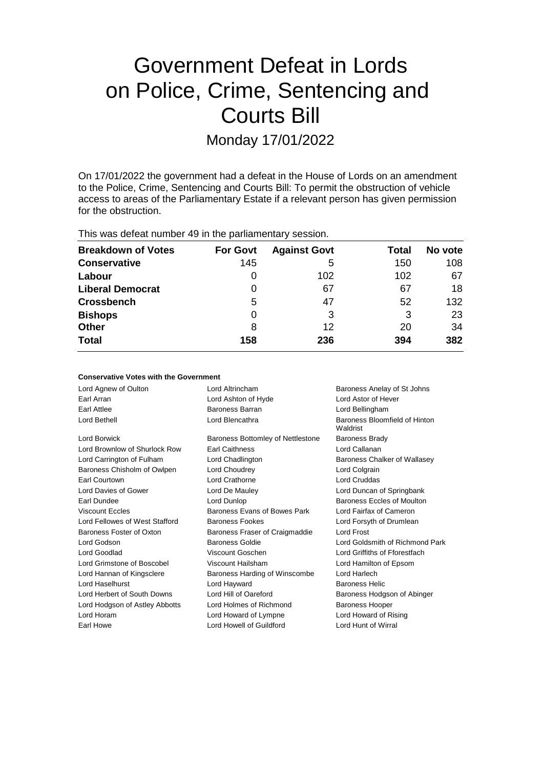# Government Defeat in Lords on Police, Crime, Sentencing and Courts Bill

Monday 17/01/2022

On 17/01/2022 the government had a defeat in the House of Lords on an amendment to the Police, Crime, Sentencing and Courts Bill: To permit the obstruction of vehicle access to areas of the Parliamentary Estate if a relevant person has given permission for the obstruction.

This was defeat number 49 in the parliamentary session.

| <b>Breakdown of Votes</b> | <b>For Govt</b> | <b>Against Govt</b> | Total | No vote |
|---------------------------|-----------------|---------------------|-------|---------|
| <b>Conservative</b>       | 145             | 5                   | 150   | 108     |
| Labour                    | 0               | 102                 | 102   | 67      |
| <b>Liberal Democrat</b>   | 0               | 67                  | 67    | 18      |
| <b>Crossbench</b>         | 5               | 47                  | 52    | 132     |
| <b>Bishops</b>            | 0               | 3                   | 3     | 23      |
| <b>Other</b>              | 8               | 12                  | 20    | 34      |
| <b>Total</b>              | 158             | 236                 | 394   | 382     |

#### **Conservative Votes with the Government**

| Lord Agnew of Oulton           | Lord Altrincham                   | Baroness Anelay of St Johns               |
|--------------------------------|-----------------------------------|-------------------------------------------|
| Earl Arran                     | Lord Ashton of Hyde               | Lord Astor of Hever                       |
| Earl Attlee                    | Baroness Barran                   | Lord Bellingham                           |
| Lord Bethell                   | Lord Blencathra                   | Baroness Bloomfield of Hinton<br>Waldrist |
| Lord Borwick                   | Baroness Bottomley of Nettlestone | <b>Baroness Brady</b>                     |
| Lord Brownlow of Shurlock Row  | <b>Earl Caithness</b>             | Lord Callanan                             |
| Lord Carrington of Fulham      | Lord Chadlington                  | Baroness Chalker of Wallasey              |
| Baroness Chisholm of Owlpen    | Lord Choudrey                     | Lord Colgrain                             |
| Earl Courtown                  | Lord Crathorne                    | Lord Cruddas                              |
| Lord Davies of Gower           | Lord De Mauley                    | Lord Duncan of Springbank                 |
| Earl Dundee                    | Lord Dunlop                       | Baroness Eccles of Moulton                |
| Viscount Feeles                | Baroness Evans of Bowes Park      | Lord Fairfax of Cameron                   |
| Lord Fellowes of West Stafford | <b>Baroness Fookes</b>            | Lord Forsyth of Drumlean                  |
| Baroness Foster of Oxton       | Baroness Fraser of Craigmaddie    | Lord Frost                                |
| Lord Godson                    | Baroness Goldie                   | Lord Goldsmith of Richmond Park           |
| Lord Goodlad                   | Viscount Goschen                  | Lord Griffiths of Fforestfach             |
| Lord Grimstone of Boscobel     | Viscount Hailsham                 | Lord Hamilton of Epsom                    |
| Lord Hannan of Kingsclere      | Baroness Harding of Winscombe     | Lord Harlech                              |
| Lord Haselhurst                | Lord Hayward                      | <b>Baroness Helic</b>                     |
| Lord Herbert of South Downs    | Lord Hill of Oareford             | Baroness Hodgson of Abinger               |
| Lord Hodgson of Astley Abbotts | Lord Holmes of Richmond           | <b>Baroness Hooper</b>                    |
| Lord Horam                     | Lord Howard of Lympne             | Lord Howard of Rising                     |
| Earl Howe                      | Lord Howell of Guildford          | Lord Hunt of Wirral                       |
|                                |                                   |                                           |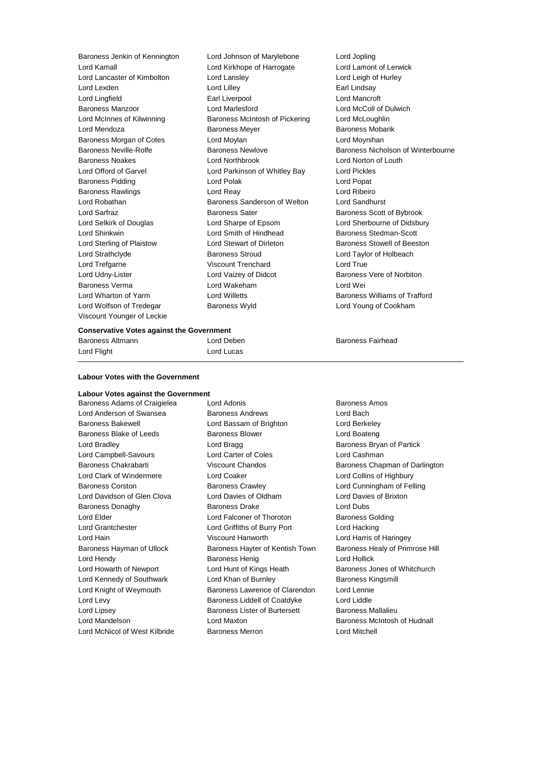Baroness Jenkin of Kennington Lord Johnson of Marylebone Lord Jopling Lord Kamall Lord Kirkhope of Harrogate Lord Lamont of Lerwick Lord Lancaster of Kimbolton Lord Lansley Lord Leigh of Hurley Lord Lexden Lord Lilley Earl Lindsay Lord Lingfield Earl Liverpool Lord Mancroft Baroness Manzoor Lord Marlesford Lord McColl of Dulwich Lord McInnes of Kilwinning Baroness McIntosh of Pickering Lord McLoughlin Lord Mendoza **Baroness Meyer** Baroness Meyer Baroness Mobarik Baroness Morgan of Cotes **Lord Moylan** Lord Moynihan Lord Moynihan Baroness Noakes Lord Northbrook Lord Norton of Louth Lord Offord of Garvel **Lord Parkinson of Whitley Bay** Lord Pickles Baroness Pidding Lord Polak Lord Popat Baroness Rawlings Lord Reay Lord Ribeiro Lord Robathan Baroness Sanderson of Welton Lord Sandhurst Lord Sarfraz **Baroness Sater** Baroness Sater Baroness Scott of Bybrook Lord Selkirk of Douglas Lord Sharpe of Epsom Lord Sherbourne of Didsbury Lord Shinkwin **Lord Smith of Hindhead** Baroness Stedman-Scott Lord Sterling of Plaistow Lord Stewart of Dirleton Baroness Stowell of Beeston Lord Strathclyde Baroness Stroud Lord Taylor of Holbeach Lord Trefgarne **Viscount Trenchard** Lord True Lord Udny-Lister Lord Vaizey of Didcot Baroness Vere of Norbiton Baroness Verma Lord Wakeham Lord Wei Lord Wharton of Yarm Lord Willetts Baroness Williams of Trafford Lord Wolfson of Tredegar **Baroness Wyld** Lord Young of Cookham Viscount Younger of Leckie

Baroness Neville-Rolfe **Baroness Newlove** Baroness Newlove **Baroness Nicholson of Winterbourne** 

#### **Conservative Votes against the Government**

Baroness Altmann and Baroness Fairhead Lord Deben Baroness Fairhead Lord Flight Lord Lucas

**Labour Votes with the Government**

### **Labour Votes against the Government**

Lord Anderson of Swansea **Baroness Andrews** Baroness Andrews Lord Bach Baroness Bakewell Lord Bassam of Brighton Lord Berkeley Baroness Blake of Leeds **Baroness Blower** Baroness Blower **Lord Boateng** Lord Bradley **Lord Bragg Community** Lord Bragg Baroness Bryan of Partick Lord Campbell-Savours Lord Carter of Coles Lord Cashman Lord Clark of Windermere Lord Coaker Lord Collins of Highbury Baroness Corston Baroness Crawley Lord Cunningham of Felling Lord Davidson of Glen Clova Lord Davies of Oldham Lord Davies of Brixton Baroness Donaghy Baroness Drake Lord Dubs Lord Elder **Lord Falconer of Thoroton** Baroness Golding Lord Grantchester Lord Griffiths of Burry Port Lord Hacking Lord Hain Viscount Hanworth Lord Harris of Haringey Lord Hendy Baroness Henig Lord Hollick Lord Howarth of Newport **Lord Hunt of Kings Heath** Baroness Jones of Whitchurch Lord Kennedy of Southwark Lord Khan of Burnley **Baroness Kingsmill** Lord Knight of Weymouth Baroness Lawrence of Clarendon Lord Lennie Lord Levy Baroness Liddell of Coatdyke Lord Liddle Lord Lipsey **Baroness Lister of Burtersett** Baroness Mallalieu Lord Mandelson **Lord Maxton** Baroness McIntosh of Hudnall

Baroness Adams of Craigielea Lord Adonis **Baroness Amos** Baroness Amos Lord McNicol of West Kilbride Baroness Merron Lord Mitchell

Baroness Chakrabarti **Viscount Chandos** Baroness Chapman of Darlington Baroness Hayman of Ullock Baroness Hayter of Kentish Town Baroness Healy of Primrose Hill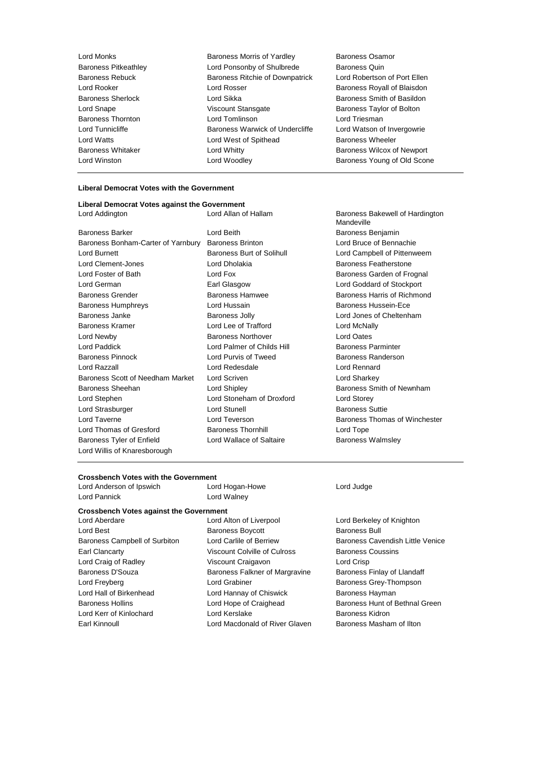Lord Monks Baroness Morris of Yardley Baroness Osamor Baroness Pitkeathley **Lord Ponsonby of Shulbrede** Baroness Quin<br>Baroness Rebuck Baroness Ritchie of Downpatrick Lord Robertson of Port Ellen Baroness Ritchie of Downpatrick Lord Rooker **Lord Rosser** Communications Communications Corp. **Baroness Royall of Blaisdon** Baroness Sherlock **Exercise Sherlock** Lord Sikka **Exercise Smith of Basildon**<br>
Lord Snape Cord Siscount Stansgate Baroness Taylor of Bolton Lord Snape **Viscount Stansgate** Baroness Taylor of Bolton Baroness Thornton **Communist Constructs** Lord Tomlinson **Lord Triesman** Lord Tunnicliffe **Baroness Warwick of Undercliffe** Lord Watson of Invergowrie<br>
Lord Watts
Lord West of Spithead
Baroness Wheeler Lord Watts<br>
Lord West of Spithead Baroness Wheeler<br>
Baroness Whitaker Lord Whitty Cord Whitty Baroness Wilcox of Lord Whitty **Baroness Wilcox of Newport** Lord Winston Lord Woodley Baroness Young of Old Scone

### **Liberal Democrat Votes with the Government**

| Liberal Democrat Votes against the Government       |                            |                                               |
|-----------------------------------------------------|----------------------------|-----------------------------------------------|
| Lord Addington                                      | Lord Allan of Hallam       | Baroness Bakewell of Hardington<br>Mandeville |
| <b>Baroness Barker</b>                              | Lord Beith                 | Baroness Benjamin                             |
| Baroness Bonham-Carter of Yarnbury Baroness Brinton |                            | Lord Bruce of Bennachie                       |
| <b>Lord Burnett</b>                                 | Baroness Burt of Solihull  | Lord Campbell of Pittenweem                   |
| Lord Clement-Jones                                  | Lord Dholakia              | Baroness Featherstone                         |
| Lord Foster of Bath                                 | Lord Fox                   | Baroness Garden of Frognal                    |
| Lord German                                         | Earl Glasgow               | Lord Goddard of Stockport                     |
| <b>Baroness Grender</b>                             | <b>Baroness Hamwee</b>     | Baroness Harris of Richmond                   |
| <b>Baroness Humphreys</b>                           | Lord Hussain               | Baroness Hussein-Ece                          |
| Baroness Janke                                      | <b>Baroness Jolly</b>      | Lord Jones of Cheltenham                      |
| Baroness Kramer                                     | Lord Lee of Trafford       | Lord McNally                                  |
| Lord Newby                                          | <b>Baroness Northover</b>  | <b>Lord Oates</b>                             |
| Lord Paddick                                        | Lord Palmer of Childs Hill | <b>Baroness Parminter</b>                     |
| <b>Baroness Pinnock</b>                             | Lord Purvis of Tweed       | Baroness Randerson                            |
| Lord Razzall                                        | Lord Redesdale             | Lord Rennard                                  |
| Baroness Scott of Needham Market                    | Lord Scriven               | Lord Sharkey                                  |
| Baroness Sheehan                                    | Lord Shipley               | Baroness Smith of Newnham                     |
| Lord Stephen                                        | Lord Stoneham of Droxford  | Lord Storey                                   |
| Lord Strasburger                                    | Lord Stunell               | <b>Baroness Suttie</b>                        |
| Lord Taverne                                        | Lord Teverson              | Baroness Thomas of Winchester                 |
| Lord Thomas of Gresford                             | <b>Baroness Thornhill</b>  | Lord Tope                                     |
| Baroness Tyler of Enfield                           | Lord Wallace of Saltaire   | <b>Baroness Walmsley</b>                      |
| Lord Willis of Knaresborough                        |                            |                                               |
|                                                     |                            |                                               |

## **Crossbench Votes with the Government**<br>Lord Anderson of Ipswich Lord Hogan-Howe

Lord Anderson of Ipswich Lord Hogan-Howe Lord Judge Lord Pannick Lord Walney

## **Crossbench Votes against the Government**

Earl Kinnoull Lord Macdonald of River Glaven Baroness Masham of Ilton

Lord Alton of Liverpool Lord Berkeley of Knighton Lord Best **Baroness Boycott** Baroness Bull Baroness Bull Baroness Bull Baroness Bull Baroness Bull Baroness Bull Baroness Bull Baroness Bull Baroness Bull Baroness Bull Baroness Bull Baroness Bull Baroness Bull Baroness Bu Earl Clancarty Viscount Colville of Culross Baroness Coussins Lord Craig of Radley Viscount Craigavon Lord Crisp Baroness D'Souza **Baroness Falkner of Margravine** Baroness Finlay of Llandaff Lord Freyberg Lord Grabiner Baroness Grey-Thompson Lord Hall of Birkenhead Lord Hannay of Chiswick Baroness Hayman Baroness Hollins **Lord Hope of Craighead** Baroness Hunt of Bethnal Green Lord Kerr of Kinlochard Lord Kerslake Baroness Kidron

Baroness Campbell of Surbiton Lord Carlile of Berriew Baroness Cavendish Little Venice